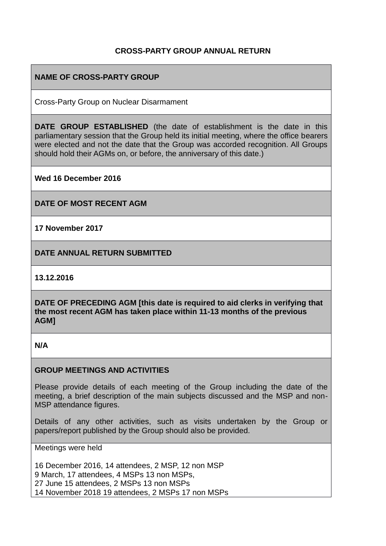## **CROSS-PARTY GROUP ANNUAL RETURN**

## **NAME OF CROSS-PARTY GROUP**

Cross-Party Group on Nuclear Disarmament

**DATE GROUP ESTABLISHED** (the date of establishment is the date in this parliamentary session that the Group held its initial meeting, where the office bearers were elected and not the date that the Group was accorded recognition. All Groups should hold their AGMs on, or before, the anniversary of this date.)

**Wed 16 December 2016** 

**DATE OF MOST RECENT AGM**

**17 November 2017**

**DATE ANNUAL RETURN SUBMITTED**

**13.12.2016** 

**DATE OF PRECEDING AGM [this date is required to aid clerks in verifying that the most recent AGM has taken place within 11-13 months of the previous AGM]**

### **N/A**

### **GROUP MEETINGS AND ACTIVITIES**

Please provide details of each meeting of the Group including the date of the meeting, a brief description of the main subjects discussed and the MSP and non-MSP attendance figures.

Details of any other activities, such as visits undertaken by the Group or papers/report published by the Group should also be provided.

Meetings were held

16 December 2016, 14 attendees, 2 MSP, 12 non MSP 9 March, 17 attendees, 4 MSPs 13 non MSPs, 27 June 15 attendees, 2 MSPs 13 non MSPs 14 November 2018 19 attendees, 2 MSPs 17 non MSPs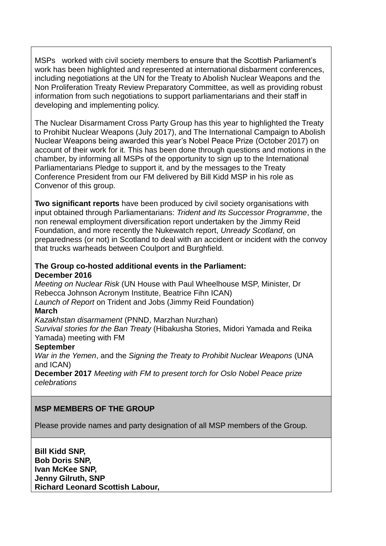MSPs worked with civil society members to ensure that the Scottish Parliament's work has been highlighted and represented at international disbarment conferences, including negotiations at the UN for the Treaty to Abolish Nuclear Weapons and the Non Proliferation Treaty Review Preparatory Committee, as well as providing robust information from such negotiations to support parliamentarians and their staff in developing and implementing policy.

The Nuclear Disarmament Cross Party Group has this year to highlighted the Treaty to Prohibit Nuclear Weapons (July 2017), and The International Campaign to Abolish Nuclear Weapons being awarded this year's Nobel Peace Prize (October 2017) on account of their work for it. This has been done through questions and motions in the chamber, by informing all MSPs of the opportunity to sign up to the International Parliamentarians Pledge to support it, and by the messages to the Treaty Conference President from our FM delivered by Bill Kidd MSP in his role as Convenor of this group.

**Two significant reports** have been produced by civil society organisations with input obtained through Parliamentarians: *Trident and Its Successor Programme*, the non renewal employment diversification report undertaken by the Jimmy Reid Foundation, and more recently the Nukewatch report, *Unready Scotland*, on preparedness (or not) in Scotland to deal with an accident or incident with the convoy that trucks warheads between Coulport and Burghfield.

### **The Group co-hosted additional events in the Parliament: December 2016**

*Meeting on Nuclear Risk* (UN House with Paul Wheelhouse MSP, Minister, Dr Rebecca Johnson Acronym Institute, Beatrice Fihn ICAN) *Launch of Report* on Trident and Jobs (Jimmy Reid Foundation) **March** 

*Kazakhstan disarmament* (PNND, Marzhan Nurzhan)

*Survival stories for the Ban Treaty* (Hibakusha Stories, Midori Yamada and Reika Yamada) meeting with FM

### **September**

*War in the Yemen*, and the *Signing the Treaty to Prohibit Nuclear Weapons* (UNA and ICAN)

**December 2017** *Meeting with FM to present torch for Oslo Nobel Peace prize celebrations*

# **MSP MEMBERS OF THE GROUP**

Please provide names and party designation of all MSP members of the Group.

**Bill Kidd SNP, Bob Doris SNP, Ivan McKee SNP, Jenny Gilruth, SNP Richard Leonard Scottish Labour,**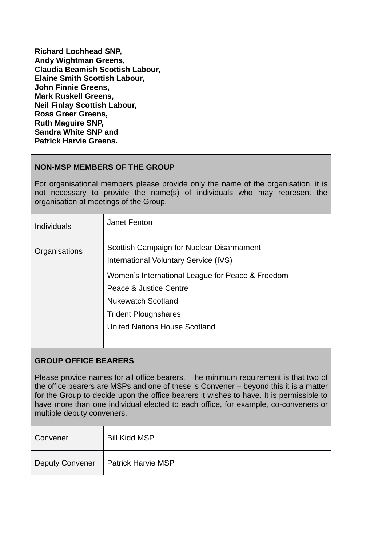| <b>Richard Lochhead SNP,</b>         |
|--------------------------------------|
| <b>Andy Wightman Greens,</b>         |
| Claudia Beamish Scottish Labour,     |
| <b>Elaine Smith Scottish Labour,</b> |
| <b>John Finnie Greens,</b>           |
| <b>Mark Ruskell Greens,</b>          |
| <b>Neil Finlay Scottish Labour,</b>  |
| <b>Ross Greer Greens,</b>            |
| <b>Ruth Maguire SNP,</b>             |
| <b>Sandra White SNP and</b>          |
| <b>Patrick Harvie Greens.</b>        |
|                                      |

## **NON-MSP MEMBERS OF THE GROUP**

For organisational members please provide only the name of the organisation, it is not necessary to provide the name(s) of individuals who may represent the organisation at meetings of the Group.

| <b>Individuals</b> | Janet Fenton                                                                       |
|--------------------|------------------------------------------------------------------------------------|
| Organisations      | Scottish Campaign for Nuclear Disarmament<br>International Voluntary Service (IVS) |
|                    | Women's International League for Peace & Freedom                                   |
|                    | Peace & Justice Centre                                                             |
|                    | <b>Nukewatch Scotland</b>                                                          |
|                    | <b>Trident Ploughshares</b>                                                        |
|                    | <b>United Nations House Scotland</b>                                               |
|                    |                                                                                    |

## **GROUP OFFICE BEARERS**

Please provide names for all office bearers. The minimum requirement is that two of the office bearers are MSPs and one of these is Convener – beyond this it is a matter for the Group to decide upon the office bearers it wishes to have. It is permissible to have more than one individual elected to each office, for example, co-conveners or multiple deputy conveners.

| Convener               | <b>Bill Kidd MSP</b>      |
|------------------------|---------------------------|
| <b>Deputy Convener</b> | <b>Patrick Harvie MSP</b> |